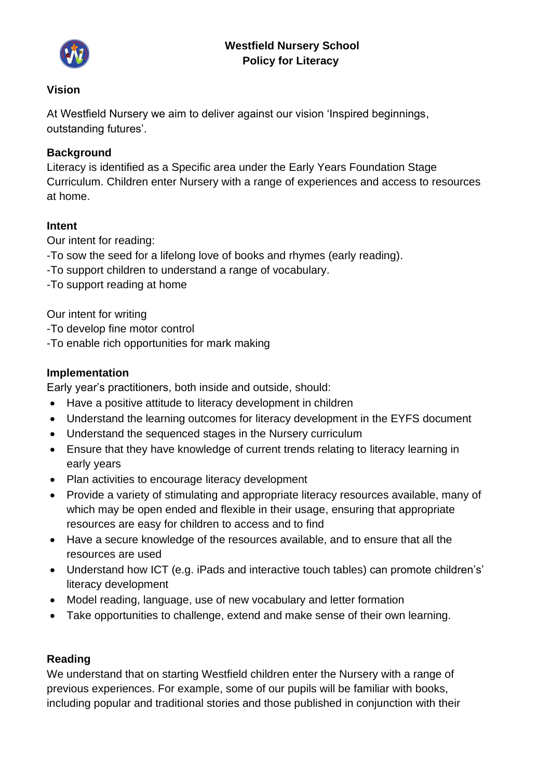## **Westfield Nursery School Policy for Literacy**



#### **Vision**

At Westfield Nursery we aim to deliver against our vision 'Inspired beginnings, outstanding futures'.

### **Background**

Literacy is identified as a Specific area under the Early Years Foundation Stage Curriculum. Children enter Nursery with a range of experiences and access to resources at home.

#### **Intent**

Our intent for reading: -To sow the seed for a lifelong love of books and rhymes (early reading). -To support children to understand a range of vocabulary. -To support reading at home

Our intent for writing

- -To develop fine motor control
- -To enable rich opportunities for mark making

### **Implementation**

Early year's practitioners, both inside and outside, should:

- Have a positive attitude to literacy development in children
- Understand the learning outcomes for literacy development in the EYFS document
- Understand the sequenced stages in the Nursery curriculum
- Ensure that they have knowledge of current trends relating to literacy learning in early years
- Plan activities to encourage literacy development
- Provide a variety of stimulating and appropriate literacy resources available, many of which may be open ended and flexible in their usage, ensuring that appropriate resources are easy for children to access and to find
- Have a secure knowledge of the resources available, and to ensure that all the resources are used
- Understand how ICT (e.g. iPads and interactive touch tables) can promote children's' literacy development
- Model reading, language, use of new vocabulary and letter formation
- Take opportunities to challenge, extend and make sense of their own learning.

#### **Reading**

We understand that on starting Westfield children enter the Nursery with a range of previous experiences. For example, some of our pupils will be familiar with books, including popular and traditional stories and those published in conjunction with their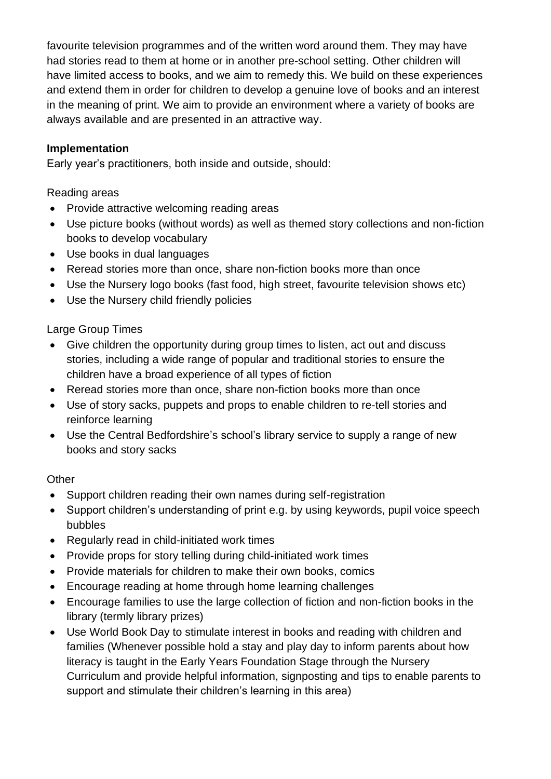favourite television programmes and of the written word around them. They may have had stories read to them at home or in another pre-school setting. Other children will have limited access to books, and we aim to remedy this. We build on these experiences and extend them in order for children to develop a genuine love of books and an interest in the meaning of print. We aim to provide an environment where a variety of books are always available and are presented in an attractive way.

### **Implementation**

Early year's practitioners, both inside and outside, should:

### Reading areas

- Provide attractive welcoming reading areas
- Use picture books (without words) as well as themed story collections and non-fiction books to develop vocabulary
- Use books in dual languages
- Reread stories more than once, share non-fiction books more than once
- Use the Nursery logo books (fast food, high street, favourite television shows etc)
- Use the Nursery child friendly policies

# Large Group Times

- Give children the opportunity during group times to listen, act out and discuss stories, including a wide range of popular and traditional stories to ensure the children have a broad experience of all types of fiction
- Reread stories more than once, share non-fiction books more than once
- Use of story sacks, puppets and props to enable children to re-tell stories and reinforce learning
- Use the Central Bedfordshire's school's library service to supply a range of new books and story sacks

# **Other**

- Support children reading their own names during self-registration
- Support children's understanding of print e.g. by using keywords, pupil voice speech bubbles
- Regularly read in child-initiated work times
- Provide props for story telling during child-initiated work times
- Provide materials for children to make their own books, comics
- Encourage reading at home through home learning challenges
- Encourage families to use the large collection of fiction and non-fiction books in the library (termly library prizes)
- Use World Book Day to stimulate interest in books and reading with children and families (Whenever possible hold a stay and play day to inform parents about how literacy is taught in the Early Years Foundation Stage through the Nursery Curriculum and provide helpful information, signposting and tips to enable parents to support and stimulate their children's learning in this area)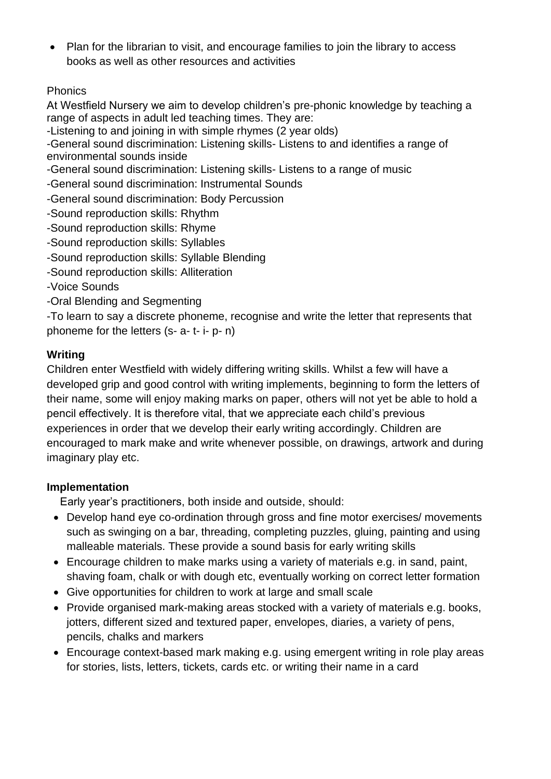• Plan for the librarian to visit, and encourage families to join the library to access books as well as other resources and activities

# Phonics

At Westfield Nursery we aim to develop children's pre-phonic knowledge by teaching a range of aspects in adult led teaching times. They are:

-Listening to and joining in with simple rhymes (2 year olds)

-General sound discrimination: Listening skills- Listens to and identifies a range of environmental sounds inside

-General sound discrimination: Listening skills- Listens to a range of music

- -General sound discrimination: Instrumental Sounds
- -General sound discrimination: Body Percussion
- -Sound reproduction skills: Rhythm
- -Sound reproduction skills: Rhyme
- -Sound reproduction skills: Syllables
- -Sound reproduction skills: Syllable Blending
- -Sound reproduction skills: Alliteration
- -Voice Sounds
- -Oral Blending and Segmenting

-To learn to say a discrete phoneme, recognise and write the letter that represents that phoneme for the letters (s- a- t- i- p- n)

### **Writing**

Children enter Westfield with widely differing writing skills. Whilst a few will have a developed grip and good control with writing implements, beginning to form the letters of their name, some will enjoy making marks on paper, others will not yet be able to hold a pencil effectively. It is therefore vital, that we appreciate each child's previous experiences in order that we develop their early writing accordingly. Children are encouraged to mark make and write whenever possible, on drawings, artwork and during imaginary play etc.

#### **Implementation**

Early year's practitioners, both inside and outside, should:

- Develop hand eye co-ordination through gross and fine motor exercises/ movements such as swinging on a bar, threading, completing puzzles, gluing, painting and using malleable materials. These provide a sound basis for early writing skills
- Encourage children to make marks using a variety of materials e.g. in sand, paint, shaving foam, chalk or with dough etc, eventually working on correct letter formation
- Give opportunities for children to work at large and small scale
- Provide organised mark-making areas stocked with a variety of materials e.g. books, jotters, different sized and textured paper, envelopes, diaries, a variety of pens, pencils, chalks and markers
- Encourage context-based mark making e.g. using emergent writing in role play areas for stories, lists, letters, tickets, cards etc. or writing their name in a card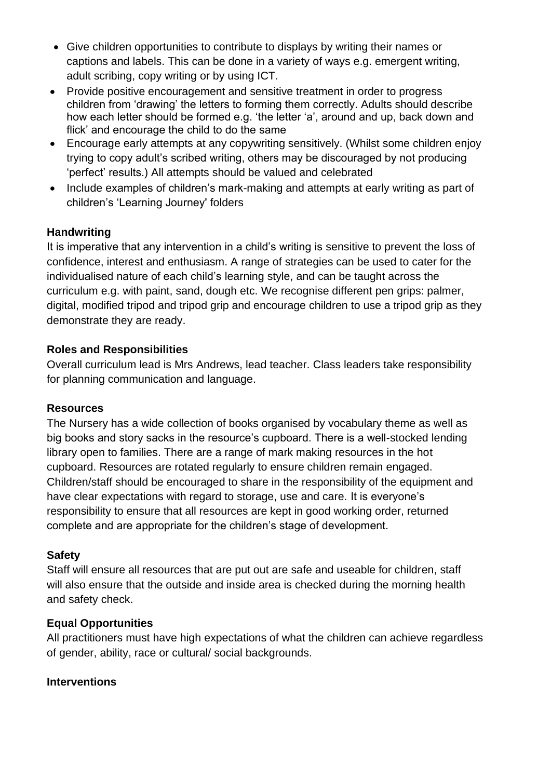- Give children opportunities to contribute to displays by writing their names or captions and labels. This can be done in a variety of ways e.g. emergent writing, adult scribing, copy writing or by using ICT.
- Provide positive encouragement and sensitive treatment in order to progress children from 'drawing' the letters to forming them correctly. Adults should describe how each letter should be formed e.g. 'the letter 'a', around and up, back down and flick' and encourage the child to do the same
- Encourage early attempts at any copywriting sensitively. (Whilst some children enjoy trying to copy adult's scribed writing, others may be discouraged by not producing 'perfect' results.) All attempts should be valued and celebrated
- Include examples of children's mark-making and attempts at early writing as part of children's 'Learning Journey' folders

### **Handwriting**

It is imperative that any intervention in a child's writing is sensitive to prevent the loss of confidence, interest and enthusiasm. A range of strategies can be used to cater for the individualised nature of each child's learning style, and can be taught across the curriculum e.g. with paint, sand, dough etc. We recognise different pen grips: palmer, digital, modified tripod and tripod grip and encourage children to use a tripod grip as they demonstrate they are ready.

### **Roles and Responsibilities**

Overall curriculum lead is Mrs Andrews, lead teacher. Class leaders take responsibility for planning communication and language.

#### **Resources**

The Nursery has a wide collection of books organised by vocabulary theme as well as big books and story sacks in the resource's cupboard. There is a well-stocked lending library open to families. There are a range of mark making resources in the hot cupboard. Resources are rotated regularly to ensure children remain engaged. Children/staff should be encouraged to share in the responsibility of the equipment and have clear expectations with regard to storage, use and care. It is everyone's responsibility to ensure that all resources are kept in good working order, returned complete and are appropriate for the children's stage of development.

# **Safety**

Staff will ensure all resources that are put out are safe and useable for children, staff will also ensure that the outside and inside area is checked during the morning health and safety check.

# **Equal Opportunities**

All practitioners must have high expectations of what the children can achieve regardless of gender, ability, race or cultural/ social backgrounds.

#### **Interventions**